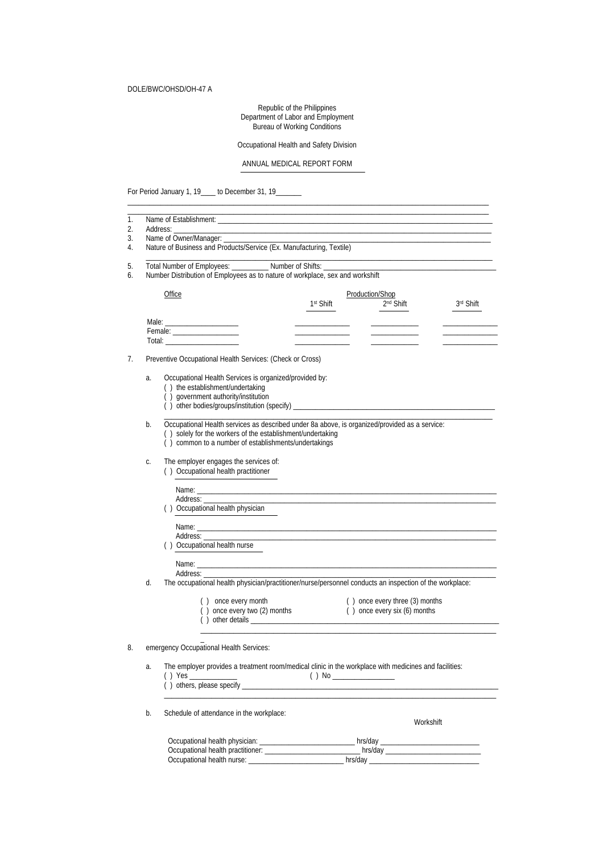Republic of the Philippines Department of Labor and Employment Bureau of Working Conditions

Occupational Health and Safety Division

# ANNUAL MEDICAL REPORT FORM

\_\_\_\_\_\_\_\_\_\_\_\_\_\_\_\_\_\_\_\_\_\_\_\_\_\_\_\_\_\_\_\_\_\_\_\_\_\_\_\_\_\_\_\_\_\_\_\_\_\_\_\_\_\_\_\_\_\_\_\_\_\_\_\_\_\_\_\_\_\_\_\_\_\_\_\_\_\_\_\_\_\_\_\_\_\_\_\_\_\_\_\_\_\_\_\_\_\_\_

For Period January 1, 19\_\_\_\_ to December 31, 19\_

| 1.<br>2. | Address: Analysis and the Address of                                                                                                                              |                                                                                                     |                 |                                |           |
|----------|-------------------------------------------------------------------------------------------------------------------------------------------------------------------|-----------------------------------------------------------------------------------------------------|-----------------|--------------------------------|-----------|
| 3.       | Name of Owner/Manager: _____________                                                                                                                              |                                                                                                     |                 |                                |           |
| 4.       | Nature of Business and Products/Service (Ex. Manufacturing, Textile)                                                                                              |                                                                                                     |                 |                                |           |
| 5.       | Total Number of Employees: ____________ Number of Shifts: ______________________                                                                                  |                                                                                                     |                 |                                |           |
| 6.       | Number Distribution of Employees as to nature of workplace, sex and workshift                                                                                     |                                                                                                     |                 |                                |           |
|          |                                                                                                                                                                   |                                                                                                     |                 |                                |           |
|          | <b>Office</b>                                                                                                                                                     |                                                                                                     | Production/Shop | 2 <sup>nd</sup> Shift          |           |
|          |                                                                                                                                                                   | 1 <sup>st</sup> Shift                                                                               |                 |                                | 3rd Shift |
|          |                                                                                                                                                                   |                                                                                                     |                 |                                |           |
|          |                                                                                                                                                                   |                                                                                                     |                 |                                |           |
|          |                                                                                                                                                                   |                                                                                                     |                 |                                |           |
| 7.       | Preventive Occupational Health Services: (Check or Cross)                                                                                                         |                                                                                                     |                 |                                |           |
|          |                                                                                                                                                                   |                                                                                                     |                 |                                |           |
|          | Occupational Health Services is organized/provided by:<br>a.<br>() the establishment/undertaking                                                                  |                                                                                                     |                 |                                |           |
|          | () government authority/institution                                                                                                                               |                                                                                                     |                 |                                |           |
|          |                                                                                                                                                                   |                                                                                                     |                 |                                |           |
|          |                                                                                                                                                                   |                                                                                                     |                 |                                |           |
|          | Occupational Health services as described under 8a above, is organized/provided as a service:<br>b.<br>() solely for the workers of the establishment/undertaking |                                                                                                     |                 |                                |           |
|          | () common to a number of establishments/undertakings                                                                                                              |                                                                                                     |                 |                                |           |
|          |                                                                                                                                                                   |                                                                                                     |                 |                                |           |
|          | The employer engages the services of:<br>C.<br>() Occupational health practitioner                                                                                |                                                                                                     |                 |                                |           |
|          |                                                                                                                                                                   |                                                                                                     |                 |                                |           |
|          |                                                                                                                                                                   |                                                                                                     |                 |                                |           |
|          | () Occupational health physician                                                                                                                                  |                                                                                                     |                 |                                |           |
|          |                                                                                                                                                                   |                                                                                                     |                 |                                |           |
|          |                                                                                                                                                                   |                                                                                                     |                 |                                |           |
|          | () Occupational health nurse                                                                                                                                      |                                                                                                     |                 |                                |           |
|          |                                                                                                                                                                   |                                                                                                     |                 |                                |           |
|          |                                                                                                                                                                   |                                                                                                     |                 |                                |           |
|          | Address:<br>The occupational health physician/practitioner/nurse/personnel conducts an inspection of the workplace:                                               |                                                                                                     |                 |                                |           |
|          | d.                                                                                                                                                                |                                                                                                     |                 |                                |           |
|          | () once every month                                                                                                                                               |                                                                                                     |                 | () once every three (3) months |           |
|          |                                                                                                                                                                   | () once every two (2) months                                                                        |                 | () once every six (6) months   |           |
|          |                                                                                                                                                                   |                                                                                                     |                 |                                |           |
|          |                                                                                                                                                                   |                                                                                                     |                 |                                |           |
| 8.       | emergency Occupational Health Services:                                                                                                                           |                                                                                                     |                 |                                |           |
|          | The employer provides a treatment room/medical clinic in the workplace with medicines and facilities:<br>a.                                                       |                                                                                                     |                 |                                |           |
|          | ( ) Yes                                                                                                                                                           |                                                                                                     |                 |                                |           |
|          |                                                                                                                                                                   |                                                                                                     |                 |                                |           |
|          |                                                                                                                                                                   |                                                                                                     |                 |                                |           |
|          | Schedule of attendance in the workplace:<br>b.                                                                                                                    |                                                                                                     |                 |                                |           |
|          |                                                                                                                                                                   |                                                                                                     |                 | Workshift                      |           |
|          | Occupational health physician: ___________________________hrs/day _________________________________                                                               |                                                                                                     |                 |                                |           |
|          |                                                                                                                                                                   |                                                                                                     |                 |                                |           |
|          |                                                                                                                                                                   | Occupational health nurse: ______________________________ hrs/day _________________________________ |                 |                                |           |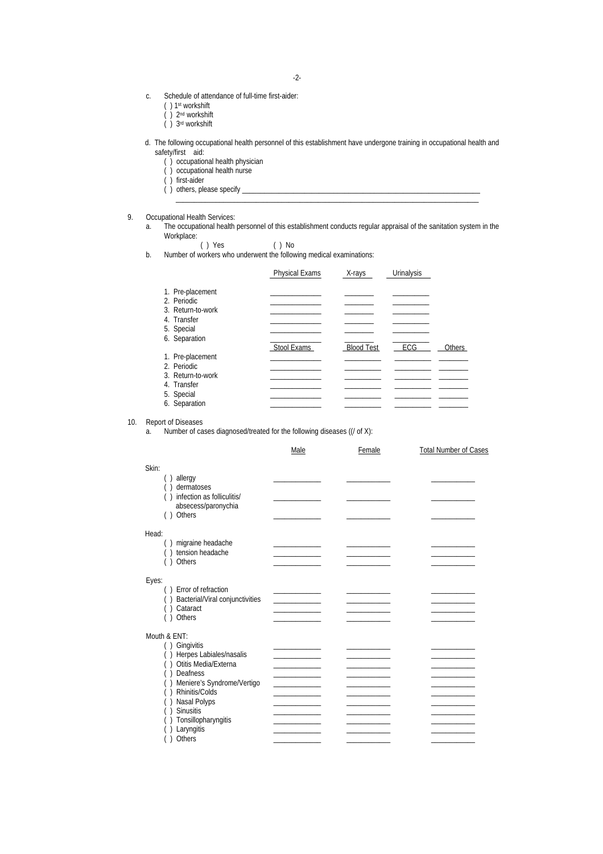- c. Schedule of attendance of full-time first-aider:
	- ( ) 1st workshift
	- ( ) 2nd workshift
	- ( ) 3rd workshift
- d. The following occupational health personnel of this establishment have undergone training in occupational health and safety/first aid:
	- ( ) occupational health physician
	- ( ) occupational health nurse
	- ( ) first-aider
	- ( ) others, please specify \_\_\_\_\_\_\_\_\_\_\_\_\_\_\_\_\_\_\_\_\_\_\_\_\_\_\_\_\_\_\_\_\_\_\_\_\_\_\_\_\_\_\_\_\_\_\_\_\_\_\_\_\_\_\_\_\_\_\_\_\_\_\_\_\_
- 9. Occupational Health Services:
	- a. The occupational health personnel of this establishment conducts regular appraisal of the sanitation system in the Workplace:

\_\_\_\_\_\_\_\_\_\_\_\_\_\_\_\_\_\_\_\_\_\_\_\_\_\_\_\_\_\_\_\_\_\_\_\_\_\_\_\_\_\_\_\_\_\_\_\_\_\_\_\_\_\_\_\_\_\_\_\_\_\_\_\_\_\_\_\_\_\_\_\_\_\_\_\_\_\_\_\_\_\_\_

- ( ) Yes ( ) No
- b. Number of workers who underwent the following medical examinations:

|                                                                                                    | <b>Physical Exams</b> | X-rays            | Urinalysis |        |
|----------------------------------------------------------------------------------------------------|-----------------------|-------------------|------------|--------|
| 1. Pre-placement<br>2. Periodic<br>3. Return-to-work<br>4. Transfer<br>5. Special                  |                       |                   |            |        |
| 6. Separation                                                                                      | Stool Exams           | <b>Blood Test</b> | ECG        | Others |
| 1. Pre-placement<br>2. Periodic<br>3. Return-to-work<br>4. Transfer<br>5. Special<br>6. Separation |                       |                   |            |        |

### 10. Report of Diseases

a. Number of cases diagnosed/treated for the following diseases ((/ of X):

|                                                                                                                                                                                                                                 | Male | Female | <b>Total Number of Cases</b> |
|---------------------------------------------------------------------------------------------------------------------------------------------------------------------------------------------------------------------------------|------|--------|------------------------------|
| Skin:<br>allergy<br>dermatoses<br>infection as folliculitis/<br>absecess/paronychia<br>Others<br>( )                                                                                                                            |      |        |                              |
| Head:<br>migraine headache<br>tension headache<br>Others                                                                                                                                                                        |      |        |                              |
| Eyes:<br>() Error of refraction<br>Bacterial/Viral conjunctivities<br>Cataract<br>() Others                                                                                                                                     |      |        |                              |
| Mouth & ENT:<br>() Gingivitis<br>Herpes Labiales/nasalis<br>Otitis Media/Externa<br>Deafness<br>( )<br>Meniere's Syndrome/Vertigo<br>Rhinitis/Colds<br>Nasal Polyps<br>Sinusitis<br>Tonsillopharyngitis<br>Laryngitis<br>Others |      |        |                              |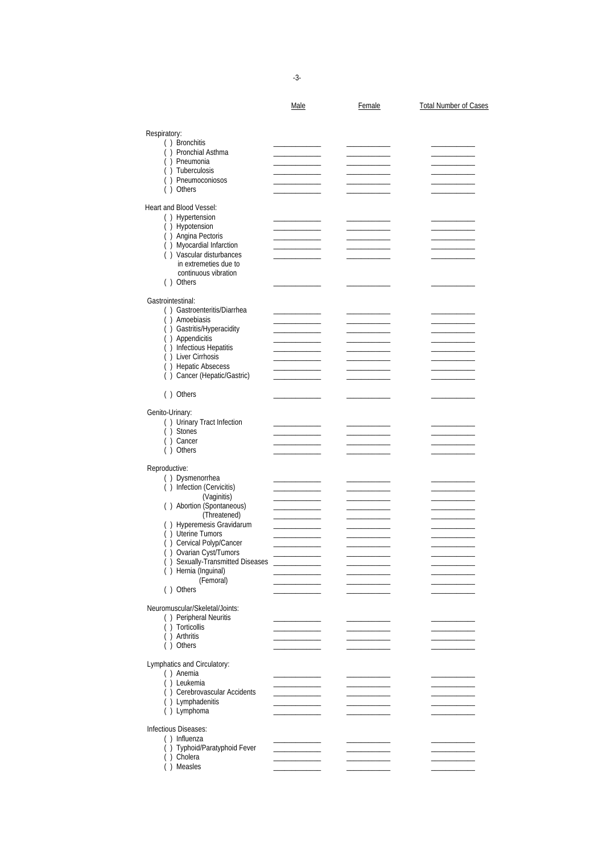-3-

|                                                            | Male | Female | <b>Total Number of Cases</b> |
|------------------------------------------------------------|------|--------|------------------------------|
| Respiratory:                                               |      |        |                              |
| () Bronchitis                                              |      |        |                              |
| () Pronchial Asthma                                        |      |        |                              |
| () Pneumonia<br>() Tuberculosis                            |      |        |                              |
| () Pneumoconiosos                                          |      |        |                              |
| () Others                                                  |      |        |                              |
| Heart and Blood Vessel:                                    |      |        |                              |
| () Hypertension<br>() Hypotension                          |      |        |                              |
| () Angina Pectoris                                         |      |        |                              |
| () Myocardial Infarction                                   |      |        |                              |
| () Vascular disturbances<br>in extremeties due to          |      |        |                              |
| continuous vibration                                       |      |        |                              |
| () Others                                                  |      |        |                              |
| Gastrointestinal:                                          |      |        |                              |
| () Gastroenteritis/Diarrhea                                |      |        |                              |
| () Amoebiasis                                              |      |        |                              |
| () Gastritis/Hyperacidity                                  |      |        |                              |
| () Appendicitis<br>() Infectious Hepatitis                 |      |        |                              |
| () Liver Cirrhosis                                         |      |        |                              |
| () Hepatic Absecess                                        |      |        |                              |
| () Cancer (Hepatic/Gastric)                                |      |        |                              |
| () Others                                                  |      |        |                              |
| Genito-Urinary:                                            |      |        |                              |
| () Urinary Tract Infection                                 |      |        |                              |
| () Stones<br>() Cancer                                     |      |        |                              |
| () Others                                                  |      |        |                              |
|                                                            |      |        |                              |
| Reproductive:<br>() Dysmenorrhea                           |      |        |                              |
| () Infection (Cervicitis)                                  |      |        |                              |
| (Vaginitis)                                                |      |        |                              |
| () Abortion (Spontaneous)<br>(Threatened)                  |      |        |                              |
| () Hyperemesis Gravidarum                                  |      |        |                              |
| () Uterine Tumors                                          |      |        |                              |
| () Cervical Polyp/Cancer                                   |      |        |                              |
| () Ovarian Cyst/Tumors<br>() Sexually-Transmitted Diseases |      |        |                              |
| () Hernia (Inguinal)                                       |      |        |                              |
| (Femoral)                                                  |      |        |                              |
| () Others                                                  |      |        |                              |
| Neuromuscular/Skeletal/Joints:                             |      |        |                              |
| () Peripheral Neuritis                                     |      |        |                              |
| () Torticollis                                             |      |        |                              |
| () Arthritis<br>() Others                                  |      |        |                              |
|                                                            |      |        |                              |
| Lymphatics and Circulatory:<br>() Anemia                   |      |        |                              |
| () Leukemia                                                |      |        |                              |
| () Cerebrovascular Accidents                               |      |        |                              |
| () Lymphadenitis                                           |      |        |                              |
| () Lymphoma                                                |      |        |                              |
| Infectious Diseases:                                       |      |        |                              |
| () Influenza                                               |      |        |                              |
| () Typhoid/Paratyphoid Fever<br>() Cholera                 |      |        |                              |
| () Measles                                                 |      |        |                              |
|                                                            |      |        |                              |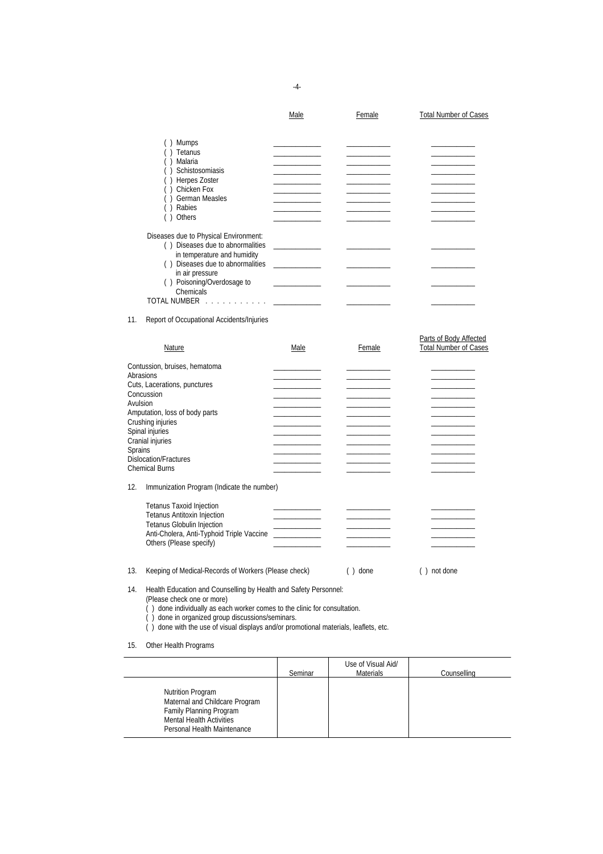|                                                  | Male | Female | <b>Total Number of Cases</b> |
|--------------------------------------------------|------|--------|------------------------------|
| Mumps                                            |      |        |                              |
| Tetanus                                          |      |        |                              |
| Malaria                                          |      |        |                              |
| Schistosomiasis                                  |      |        |                              |
| Herpes Zoster                                    |      |        |                              |
| Chicken Fox                                      |      |        |                              |
| <b>German Measles</b>                            |      |        |                              |
| Rabies                                           |      |        |                              |
| Others                                           |      |        |                              |
| Diseases due to Physical Environment:            |      |        |                              |
| () Diseases due to abnormalities                 |      |        |                              |
| in temperature and humidity                      |      |        |                              |
| Diseases due to abnormalities<br>in air pressure |      |        |                              |
| Poisoning/Overdosage to<br>( )                   |      |        |                              |
| Chemicals                                        |      |        |                              |
| <b>TOTAL NUMBER</b>                              |      |        |                              |
|                                                  |      |        |                              |

## 11. Report of Occupational Accidents/Injuries

| Nature                                           | Male | Female | Parts of Body Affected<br><b>Total Number of Cases</b> |
|--------------------------------------------------|------|--------|--------------------------------------------------------|
| Contussion, bruises, hematoma                    |      |        |                                                        |
| Abrasions                                        |      |        |                                                        |
| Cuts, Lacerations, punctures                     |      |        |                                                        |
| Concussion                                       |      |        |                                                        |
| Avulsion                                         |      |        |                                                        |
| Amputation, loss of body parts                   |      |        |                                                        |
| Crushing injuries                                |      |        |                                                        |
| Spinal injuries                                  |      |        |                                                        |
| Cranial injuries                                 |      |        |                                                        |
| <b>Sprains</b>                                   |      |        |                                                        |
| Dislocation/Fractures                            |      |        |                                                        |
| <b>Chemical Burns</b>                            |      |        |                                                        |
| Immunization Drogram (Indicato the number)<br>12 |      |        |                                                        |

#### 12. Immunization Program (Indicate the number)

| Tetanus Taxoid Injection<br><b>Tetanus Antitoxin Injection</b><br><b>Tetanus Globulin Injection</b> |  |  |
|-----------------------------------------------------------------------------------------------------|--|--|
| Anti-Cholera, Anti-Typhoid Triple Vaccine<br>Others (Please specify)                                |  |  |

# 13. Keeping of Medical-Records of Workers (Please check) ( ) done ( ) not done

14. Health Education and Counselling by Health and Safety Personnel:

(Please check one or more)

( ) done individually as each worker comes to the clinic for consultation.

( ) done in organized group discussions/seminars.

( ) done with the use of visual displays and/or promotional materials, leaflets, etc.

15. Other Health Programs

|                                                                                                                                                         | Seminar | Use of Visual Aid/<br><b>Materials</b> | Counselling |
|---------------------------------------------------------------------------------------------------------------------------------------------------------|---------|----------------------------------------|-------------|
| <b>Nutrition Program</b><br>Maternal and Childcare Program<br>Family Planning Program<br><b>Mental Health Activities</b><br>Personal Health Maintenance |         |                                        |             |